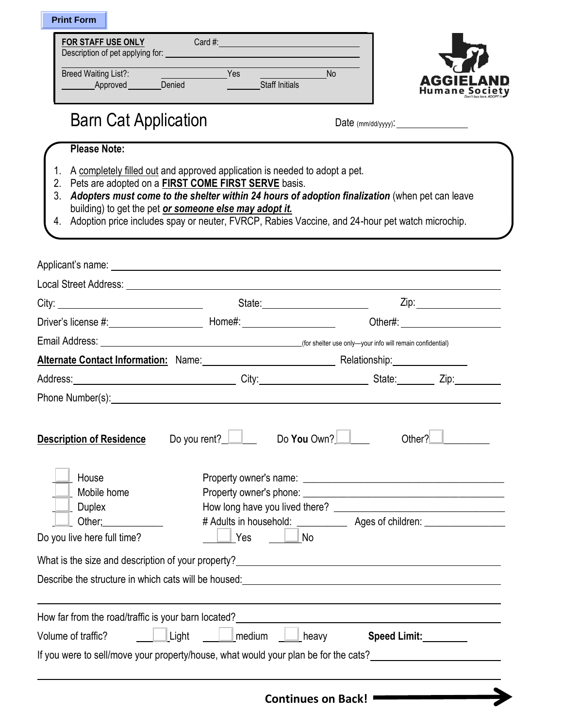| <b>Print Form</b>                                                                                                      |                                                                                                                                                                                                                                                                                                                                                                         |                                                                                                                                                                                                      |  |
|------------------------------------------------------------------------------------------------------------------------|-------------------------------------------------------------------------------------------------------------------------------------------------------------------------------------------------------------------------------------------------------------------------------------------------------------------------------------------------------------------------|------------------------------------------------------------------------------------------------------------------------------------------------------------------------------------------------------|--|
| FOR STAFF USE ONLY                                                                                                     | Card #: $\qquad \qquad$ $\qquad \qquad$ $\qquad \qquad$ $\qquad \qquad$ $\qquad \qquad$ $\qquad \qquad$ $\qquad \qquad$ $\qquad \qquad$ $\qquad \qquad$ $\qquad \qquad$ $\qquad \qquad$ $\qquad \qquad$ $\qquad$ $\qquad \qquad$ $\qquad$ $\qquad$ $\qquad$ $\qquad$ $\qquad$ $\qquad$ $\qquad$ $\qquad$ $\qquad$ $\qquad$ $\qquad$ $\qquad$ $\qquad$ $\qquad$ $\qquad$ |                                                                                                                                                                                                      |  |
|                                                                                                                        |                                                                                                                                                                                                                                                                                                                                                                         |                                                                                                                                                                                                      |  |
| Breed Waiting List?:<br>Approved Denied                                                                                | Yes<br>Staff Initials                                                                                                                                                                                                                                                                                                                                                   | <b>No</b>                                                                                                                                                                                            |  |
| <b>Barn Cat Application</b>                                                                                            |                                                                                                                                                                                                                                                                                                                                                                         |                                                                                                                                                                                                      |  |
| <b>Please Note:</b>                                                                                                    |                                                                                                                                                                                                                                                                                                                                                                         |                                                                                                                                                                                                      |  |
| 1.<br>2.<br>3.                                                                                                         | A completely filled out and approved application is needed to adopt a pet.<br>Pets are adopted on a <b>FIRST COME FIRST SERVE</b> basis.<br>building) to get the pet or someone else may adopt it.                                                                                                                                                                      | Adopters must come to the shelter within 24 hours of adoption finalization (when pet can leave<br>4. Adoption price includes spay or neuter, FVRCP, Rabies Vaccine, and 24-hour pet watch microchip. |  |
|                                                                                                                        | Applicant's name: <u>experience</u> and a series of the series of the series of the series of the series of the series                                                                                                                                                                                                                                                  |                                                                                                                                                                                                      |  |
|                                                                                                                        |                                                                                                                                                                                                                                                                                                                                                                         |                                                                                                                                                                                                      |  |
|                                                                                                                        | State:                                                                                                                                                                                                                                                                                                                                                                  | Zip: ________________________                                                                                                                                                                        |  |
|                                                                                                                        |                                                                                                                                                                                                                                                                                                                                                                         | Other#: <u>______________________</u>                                                                                                                                                                |  |
|                                                                                                                        |                                                                                                                                                                                                                                                                                                                                                                         |                                                                                                                                                                                                      |  |
| Alternate Contact Information: Name: Manner Manual Relationship: Manual Discover 2016                                  |                                                                                                                                                                                                                                                                                                                                                                         |                                                                                                                                                                                                      |  |
|                                                                                                                        |                                                                                                                                                                                                                                                                                                                                                                         | Address: <u>New York: New York: City: City: State: Zip:</u> Zip: 2ip:                                                                                                                                |  |
|                                                                                                                        |                                                                                                                                                                                                                                                                                                                                                                         |                                                                                                                                                                                                      |  |
|                                                                                                                        | Do You Own?<br>Do you rent?_                                                                                                                                                                                                                                                                                                                                            | Other?                                                                                                                                                                                               |  |
|                                                                                                                        |                                                                                                                                                                                                                                                                                                                                                                         |                                                                                                                                                                                                      |  |
| House                                                                                                                  |                                                                                                                                                                                                                                                                                                                                                                         |                                                                                                                                                                                                      |  |
| Mobile home                                                                                                            |                                                                                                                                                                                                                                                                                                                                                                         |                                                                                                                                                                                                      |  |
| <b>Duplex</b><br>Other: <u>_________</u>                                                                               |                                                                                                                                                                                                                                                                                                                                                                         |                                                                                                                                                                                                      |  |
|                                                                                                                        | Yes<br>⊥No                                                                                                                                                                                                                                                                                                                                                              |                                                                                                                                                                                                      |  |
|                                                                                                                        |                                                                                                                                                                                                                                                                                                                                                                         |                                                                                                                                                                                                      |  |
|                                                                                                                        |                                                                                                                                                                                                                                                                                                                                                                         | # Adults in household: ________________ Ages of children: ______________________<br><u> 1980 - Johann John Stein, markin fizik eta idazlea (</u>                                                     |  |
| <b>Description of Residence</b><br>Do you live here full time?<br>Describe the structure in which cats will be housed: |                                                                                                                                                                                                                                                                                                                                                                         |                                                                                                                                                                                                      |  |
| Volume of traffic?                                                                                                     | Light<br>medium<br>Lheavy                                                                                                                                                                                                                                                                                                                                               | Speed Limit: Speed Limit:                                                                                                                                                                            |  |